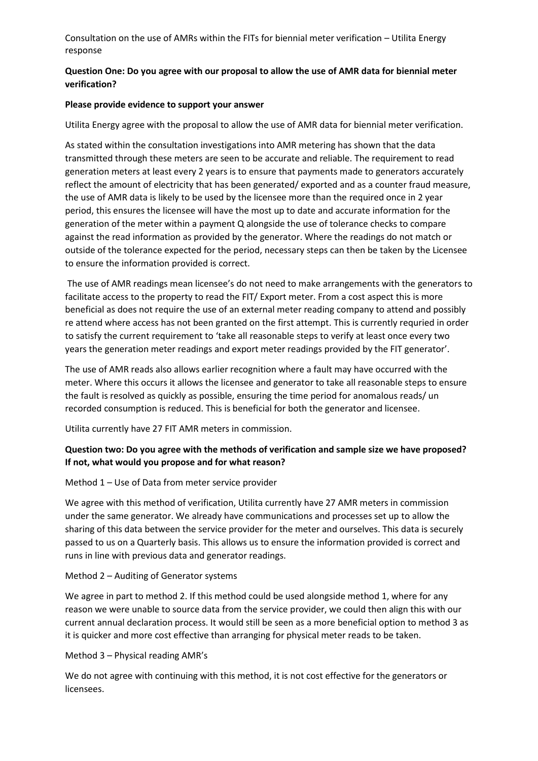Consultation on the use of AMRs within the FITs for biennial meter verification – Utilita Energy response

### **Question One: Do you agree with our proposal to allow the use of AMR data for biennial meter verification?**

### **Please provide evidence to support your answer**

Utilita Energy agree with the proposal to allow the use of AMR data for biennial meter verification.

As stated within the consultation investigations into AMR metering has shown that the data transmitted through these meters are seen to be accurate and reliable. The requirement to read generation meters at least every 2 years is to ensure that payments made to generators accurately reflect the amount of electricity that has been generated/ exported and as a counter fraud measure, the use of AMR data is likely to be used by the licensee more than the required once in 2 year period, this ensures the licensee will have the most up to date and accurate information for the generation of the meter within a payment Q alongside the use of tolerance checks to compare against the read information as provided by the generator. Where the readings do not match or outside of the tolerance expected for the period, necessary steps can then be taken by the Licensee to ensure the information provided is correct.

The use of AMR readings mean licensee's do not need to make arrangements with the generators to facilitate access to the property to read the FIT/ Export meter. From a cost aspect this is more beneficial as does not require the use of an external meter reading company to attend and possibly re attend where access has not been granted on the first attempt. This is currently requried in order to satisfy the current requirement to 'take all reasonable steps to verify at least once every two years the generation meter readings and export meter readings provided by the FIT generator'.

The use of AMR reads also allows earlier recognition where a fault may have occurred with the meter. Where this occurs it allows the licensee and generator to take all reasonable steps to ensure the fault is resolved as quickly as possible, ensuring the time period for anomalous reads/ un recorded consumption is reduced. This is beneficial for both the generator and licensee.

Utilita currently have 27 FIT AMR meters in commission.

### **Question two: Do you agree with the methods of verification and sample size we have proposed? If not, what would you propose and for what reason?**

#### Method 1 – Use of Data from meter service provider

We agree with this method of verification, Utilita currently have 27 AMR meters in commission under the same generator. We already have communications and processes set up to allow the sharing of this data between the service provider for the meter and ourselves. This data is securely passed to us on a Quarterly basis. This allows us to ensure the information provided is correct and runs in line with previous data and generator readings.

### Method 2 – Auditing of Generator systems

We agree in part to method 2. If this method could be used alongside method 1, where for any reason we were unable to source data from the service provider, we could then align this with our current annual declaration process. It would still be seen as a more beneficial option to method 3 as it is quicker and more cost effective than arranging for physical meter reads to be taken.

Method 3 – Physical reading AMR's

We do not agree with continuing with this method, it is not cost effective for the generators or licensees.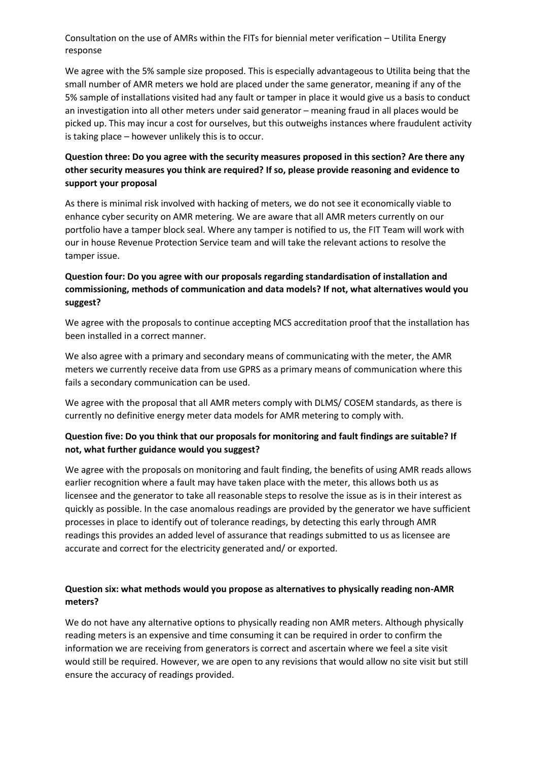Consultation on the use of AMRs within the FITs for biennial meter verification – Utilita Energy response

We agree with the 5% sample size proposed. This is especially advantageous to Utilita being that the small number of AMR meters we hold are placed under the same generator, meaning if any of the 5% sample of installations visited had any fault or tamper in place it would give us a basis to conduct an investigation into all other meters under said generator – meaning fraud in all places would be picked up. This may incur a cost for ourselves, but this outweighs instances where fraudulent activity is taking place – however unlikely this is to occur.

# **Question three: Do you agree with the security measures proposed in this section? Are there any other security measures you think are required? If so, please provide reasoning and evidence to support your proposal**

As there is minimal risk involved with hacking of meters, we do not see it economically viable to enhance cyber security on AMR metering. We are aware that all AMR meters currently on our portfolio have a tamper block seal. Where any tamper is notified to us, the FIT Team will work with our in house Revenue Protection Service team and will take the relevant actions to resolve the tamper issue.

### **Question four: Do you agree with our proposals regarding standardisation of installation and commissioning, methods of communication and data models? If not, what alternatives would you suggest?**

We agree with the proposals to continue accepting MCS accreditation proof that the installation has been installed in a correct manner.

We also agree with a primary and secondary means of communicating with the meter, the AMR meters we currently receive data from use GPRS as a primary means of communication where this fails a secondary communication can be used.

We agree with the proposal that all AMR meters comply with DLMS/ COSEM standards, as there is currently no definitive energy meter data models for AMR metering to comply with.

## **Question five: Do you think that our proposals for monitoring and fault findings are suitable? If not, what further guidance would you suggest?**

We agree with the proposals on monitoring and fault finding, the benefits of using AMR reads allows earlier recognition where a fault may have taken place with the meter, this allows both us as licensee and the generator to take all reasonable steps to resolve the issue as is in their interest as quickly as possible. In the case anomalous readings are provided by the generator we have sufficient processes in place to identify out of tolerance readings, by detecting this early through AMR readings this provides an added level of assurance that readings submitted to us as licensee are accurate and correct for the electricity generated and/ or exported.

## **Question six: what methods would you propose as alternatives to physically reading non-AMR meters?**

We do not have any alternative options to physically reading non AMR meters. Although physically reading meters is an expensive and time consuming it can be required in order to confirm the information we are receiving from generators is correct and ascertain where we feel a site visit would still be required. However, we are open to any revisions that would allow no site visit but still ensure the accuracy of readings provided.